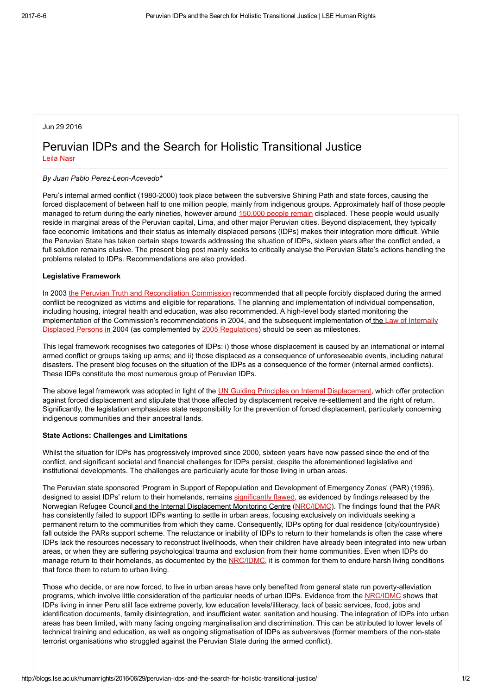## Jun 29 2016

# Peruvian IDPs and the Search for Holistic Transitional Justice Leila [Nasr](http://blogs.lse.ac.uk/humanrights/author/nasrl/)

# By Juan Pablo Perez-Leon-Acevedo\*

Peru's internal armed conflict (1980-2000) took place between the subversive Shining Path and state forces, causing the forced displacement of between half to one million people, mainly from indigenous groups. Approximately half of those people managed to return during the early nineties, however around [150,000](http://www.internal-displacement.org/assets/library/Media/201505-Global-Overview-2015/20150506-global-overview-2015-en.pdf) people remain displaced. These people would usually reside in marginal areas of the Peruvian capital, Lima, and other major Peruvian cities. Beyond displacement, they typically face economic limitations and their status as internally displaced persons (IDPs) makes their integration more difficult. While the Peruvian State has taken certain steps towards addressing the situation of IDPs, sixteen years after the conflict ended, a full solution remains elusive. The present blog post mainly seeks to critically analyse the Peruvian State's actions handling the problems related to IDPs. Recommendations are also provided.

# Legislative Framework

In 2003 the Peruvian Truth and [Reconciliation](http://www.cverdad.org.pe/ifinal/) Commission recommended that all people forcibly displaced during the armed conflict be recognized as victims and eligible for reparations. The planning and implementation of individual compensation, including housing, integral health and education, was also recommended. A high-level body started monitoring the implementation of the Commission's [recommendations](http://www.refworld.org/docid/447c68584.html) in 2004, and the subsequent implementation of the Law of Internally Displaced Persons in 2004 (as complemented by 2005 [Regulations](http://www.acnur.org/t3/fileadmin/Documentos/BDL/2012/8853.pdf?view=1)) should be seen as milestones.

This legal framework recognises two categories of IDPs: i) those whose displacement is caused by an international or internal armed conflict or groups taking up arms; and ii) those displaced as a consequence of unforeseeable events, including natural disasters. The present blog focuses on the situation of the IDPs as a consequence of the former (internal armed conflicts). These IDPs constitute the most numerous group of Peruvian IDPs.

The above legal framework was adopted in light of the UN Guiding Principles on Internal [Displacement,](http://www.unhcr.org/43ce1cff2.html) which offer protection against forced displacement and stipulate that those affected by displacement receive re-settlement and the right of return. Significantly, the legislation emphasizes state responsibility for the prevention of forced displacement, particularly concerning indigenous communities and their ancestral lands.

## State Actions: Challenges and Limitations

Whilst the situation for IDPs has progressively improved since 2000, sixteen years have now passed since the end of the conflict, and significant societal and financial challenges for IDPs persist, despite the aforementioned legislative and institutional developments. The challenges are particularly acute for those living in urban areas.

The Peruvian state sponsored 'Program in Support of Repopulation and Development of Emergency Zones' (PAR) (1996), designed to assist IDPs' return to their homelands, remains [significantly](http://www.refworld.org/country,COI,IDMC,,PER,,496709bb2,0.html) flawed, as evidenced by findings released by the Norwegian Refugee Council and the Internal Displacement Monitoring Centre ([NRC/IDMC\)](http://www.refworld.org/country,COI,IDMC,,PER,,496709bb2,0.html). The findings found that the PAR has consistently failed to support IDPs wanting to settle in urban areas, focusing exclusively on individuals seeking a permanent return to the communities from which they came. Consequently, IDPs opting for dual residence (city/countryside) fall outside the PARs support scheme. The reluctance or inability of IDPs to return to their homelands is often the case where IDPs lack the resources necessary to reconstruct livelihoods, when their children have already been integrated into new urban areas, or when they are suffering psychological trauma and exclusion from their home communities. Even when IDPs do manage return to their homelands, as documented by the [NRC/IDMC,](http://www.refworld.org/country,COI,IDMC,,PER,,496709bb2,0.html) it is common for them to endure harsh living conditions that force them to return to urban living.

Those who decide, or are now forced, to live in urban areas have only benefited from general state run poverty-alleviation programs, which involve little consideration of the particular needs of urban IDPs. Evidence from the [NRC/IDMC](http://www.refworld.org/country,COI,IDMC,,PER,,496709bb2,0.html) shows that IDPs living in inner Peru still face extreme poverty, low education levels/illiteracy, lack of basic services, food, jobs and identification documents, family disintegration, and insufficient water, sanitation and housing. The integration of IDPs into urban areas has been limited, with many facing ongoing marginalisation and discrimination. This can be attributed to lower levels of technical training and education, as well as ongoing stigmatisation of IDPs as subversives (former members of the non-state terrorist organisations who struggled against the Peruvian State during the armed conflict).